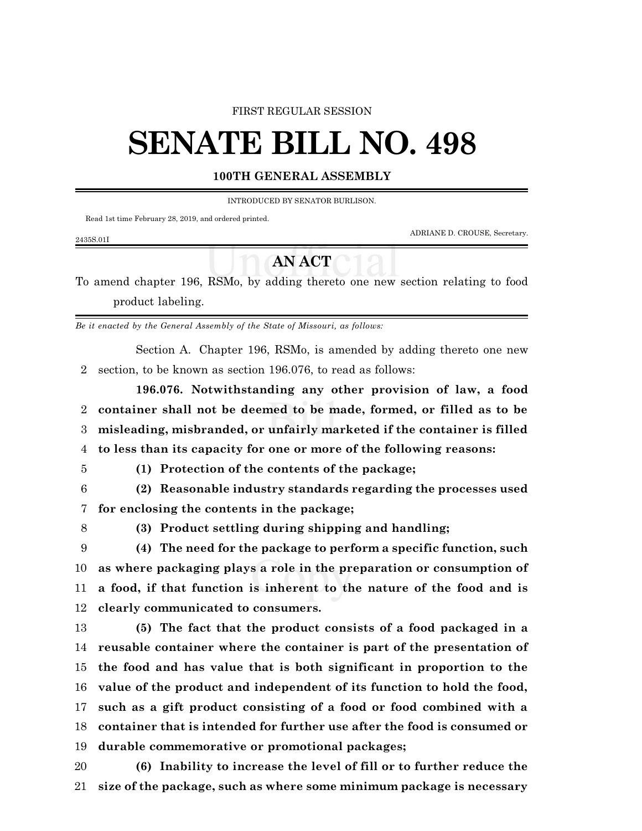#### FIRST REGULAR SESSION

# **SENATE BILL NO. 498**

### **100TH GENERAL ASSEMBLY**

INTRODUCED BY SENATOR BURLISON.

Read 1st time February 28, 2019, and ordered printed.

ADRIANE D. CROUSE, Secretary.

#### 2435S.01I

## **AN ACT**

To amend chapter 196, RSMo, by adding thereto one new section relating to food product labeling.

*Be it enacted by the General Assembly of the State of Missouri, as follows:*

Section A. Chapter 196, RSMo, is amended by adding thereto one new section, to be known as section 196.076, to read as follows:

**196.076. Notwithstanding any other provision of law, a food container shall not be deemed to be made, formed, or filled as to be misleading, misbranded, or unfairly marketed if the container is filled to less than its capacity for one or more of the following reasons:**

**(1) Protection of the contents of the package;**

 **(2) Reasonable industry standards regarding the processes used for enclosing the contents in the package;**

**(3) Product settling during shipping and handling;**

 **(4) The need for the package to perform a specific function, such as where packaging plays a role in the preparation or consumption of a food, if that function is inherent to the nature of the food and is clearly communicated to consumers.**

 **(5) The fact that the product consists of a food packaged in a reusable container where the container is part of the presentation of the food and has value that is both significant in proportion to the value of the product and independent of its function to hold the food, such as a gift product consisting of a food or food combined with a container that is intended for further use after the food is consumed or durable commemorative or promotional packages;**

 **(6) Inability to increase the level of fill or to further reduce the size of the package, such as where some minimum package is necessary**